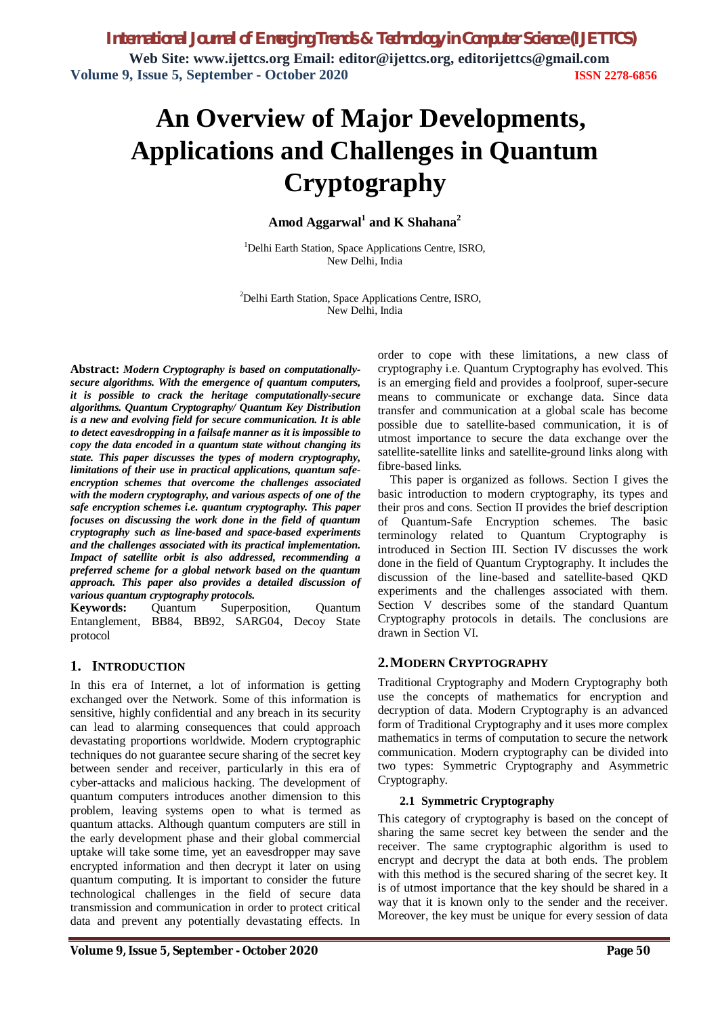# **An Overview of Major Developments, Applications and Challenges in Quantum Cryptography**

**Amod Aggarwal<sup>1</sup> and K Shahana<sup>2</sup>**

<sup>1</sup>Delhi Earth Station, Space Applications Centre, ISRO, New Delhi, India

<sup>2</sup>Delhi Earth Station, Space Applications Centre, ISRO, New Delhi, India

**Abstract:** *Modern Cryptography is based on computationallysecure algorithms. With the emergence of quantum computers, it is possible to crack the heritage computationally-secure algorithms. Quantum Cryptography/ Quantum Key Distribution is a new and evolving field for secure communication. It is able to detect eavesdropping in a failsafe manner as it is impossible to copy the data encoded in a quantum state without changing its state. This paper discusses the types of modern cryptography, limitations of their use in practical applications, quantum safeencryption schemes that overcome the challenges associated with the modern cryptography, and various aspects of one of the safe encryption schemes i.e. quantum cryptography. This paper focuses on discussing the work done in the field of quantum cryptography such as line-based and space-based experiments and the challenges associated with its practical implementation. Impact of satellite orbit is also addressed, recommending a preferred scheme for a global network based on the quantum approach. This paper also provides a detailed discussion of various quantum cryptography protocols.*

**Keywords:** Quantum Superposition, Quantum Entanglement, BB84, BB92, SARG04, Decoy State protocol

# **1. INTRODUCTION**

In this era of Internet, a lot of information is getting exchanged over the Network. Some of this information is sensitive, highly confidential and any breach in its security can lead to alarming consequences that could approach devastating proportions worldwide. Modern cryptographic techniques do not guarantee secure sharing of the secret key between sender and receiver, particularly in this era of cyber-attacks and malicious hacking. The development of quantum computers introduces another dimension to this problem, leaving systems open to what is termed as quantum attacks. Although quantum computers are still in the early development phase and their global commercial uptake will take some time, yet an eavesdropper may save encrypted information and then decrypt it later on using quantum computing. It is important to consider the future technological challenges in the field of secure data transmission and communication in order to protect critical data and prevent any potentially devastating effects. In

order to cope with these limitations, a new class of cryptography i.e. Quantum Cryptography has evolved. This is an emerging field and provides a foolproof, super-secure means to communicate or exchange data. Since data transfer and communication at a global scale has become possible due to satellite-based communication, it is of utmost importance to secure the data exchange over the satellite-satellite links and satellite-ground links along with fibre-based links.

This paper is organized as follows. Section I gives the basic introduction to modern cryptography, its types and their pros and cons. Section II provides the brief description of Quantum-Safe Encryption schemes. The basic terminology related to Quantum Cryptography is introduced in Section III. Section IV discusses the work done in the field of Quantum Cryptography. It includes the discussion of the line-based and satellite-based QKD experiments and the challenges associated with them. Section V describes some of the standard Quantum Cryptography protocols in details. The conclusions are drawn in Section VI.

# **2.MODERN CRYPTOGRAPHY**

Traditional Cryptography and Modern Cryptography both use the concepts of mathematics for encryption and decryption of data. Modern Cryptography is an advanced form of Traditional Cryptography and it uses more complex mathematics in terms of computation to secure the network communication. Modern cryptography can be divided into two types: Symmetric Cryptography and Asymmetric Cryptography.

#### **2.1 Symmetric Cryptography**

This category of cryptography is based on the concept of sharing the same secret key between the sender and the receiver. The same cryptographic algorithm is used to encrypt and decrypt the data at both ends. The problem with this method is the secured sharing of the secret key. It is of utmost importance that the key should be shared in a way that it is known only to the sender and the receiver. Moreover, the key must be unique for every session of data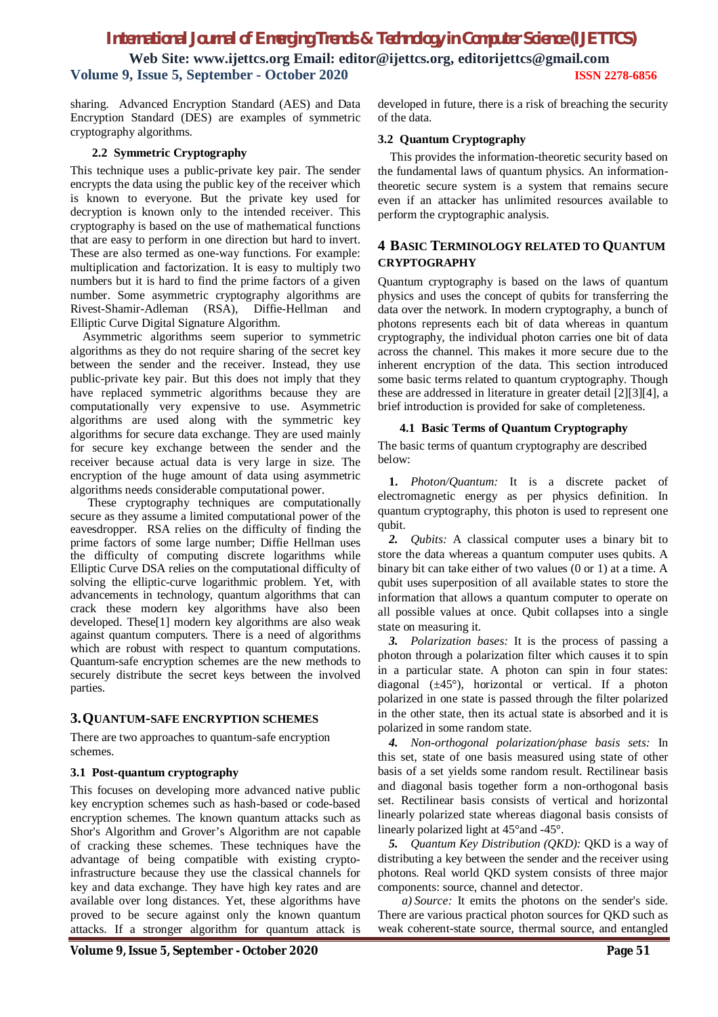**Web Site: www.ijettcs.org Email: editor@ijettcs.org, editorijettcs@gmail.com Volume 9, Issue 5, September - October 2020 ISSN 2278-6856**

sharing. Advanced Encryption Standard (AES) and Data Encryption Standard (DES) are examples of symmetric cryptography algorithms.

#### **2.2 Symmetric Cryptography**

This technique uses a public-private key pair. The sender encrypts the data using the public key of the receiver which is known to everyone. But the private key used for decryption is known only to the intended receiver. This cryptography is based on the use of mathematical functions that are easy to perform in one direction but hard to invert. These are also termed as one-way functions. For example: multiplication and factorization. It is easy to multiply two numbers but it is hard to find the prime factors of a given number. Some asymmetric cryptography algorithms are Rivest-Shamir-Adleman (RSA), Diffie-Hellman and Elliptic Curve Digital Signature Algorithm.

Asymmetric algorithms seem superior to symmetric algorithms as they do not require sharing of the secret key between the sender and the receiver. Instead, they use public-private key pair. But this does not imply that they have replaced symmetric algorithms because they are computationally very expensive to use. Asymmetric algorithms are used along with the symmetric key algorithms for secure data exchange. They are used mainly for secure key exchange between the sender and the receiver because actual data is very large in size. The encryption of the huge amount of data using asymmetric algorithms needs considerable computational power.

These cryptography techniques are computationally secure as they assume a limited computational power of the eavesdropper. RSA relies on the difficulty of finding the prime factors of some large number; Diffie Hellman uses the difficulty of computing discrete logarithms while Elliptic Curve DSA relies on the computational difficulty of solving the elliptic-curve logarithmic problem. Yet, with advancements in technology, quantum algorithms that can crack these modern key algorithms have also been developed. These[1] modern key algorithms are also weak against quantum computers. There is a need of algorithms which are robust with respect to quantum computations. Quantum-safe encryption schemes are the new methods to securely distribute the secret keys between the involved parties.

# **3.QUANTUM-SAFE ENCRYPTION SCHEMES**

There are two approaches to quantum-safe encryption schemes.

#### **3.1 Post-quantum cryptography**

This focuses on developing more advanced native public key encryption schemes such as hash-based or code-based encryption schemes. The known quantum attacks such as Shor's Algorithm and Grover's Algorithm are not capable of cracking these schemes. These techniques have the advantage of being compatible with existing cryptoinfrastructure because they use the classical channels for key and data exchange. They have high key rates and are available over long distances. Yet, these algorithms have proved to be secure against only the known quantum attacks. If a stronger algorithm for quantum attack is

developed in future, there is a risk of breaching the security of the data.

#### **3.2 Quantum Cryptography**

This provides the information-theoretic security based on the fundamental laws of quantum physics. An informationtheoretic secure system is a system that remains secure even if an attacker has unlimited resources available to perform the cryptographic analysis.

# **4 BASIC TERMINOLOGY RELATED TO QUANTUM CRYPTOGRAPHY**

Quantum cryptography is based on the laws of quantum physics and uses the concept of qubits for transferring the data over the network. In modern cryptography, a bunch of photons represents each bit of data whereas in quantum cryptography, the individual photon carries one bit of data across the channel. This makes it more secure due to the inherent encryption of the data. This section introduced some basic terms related to quantum cryptography. Though these are addressed in literature in greater detail [2][3][4], a brief introduction is provided for sake of completeness.

#### **4.1 Basic Terms of Quantum Cryptography**

The basic terms of quantum cryptography are described below:

**1.** *Photon/Quantum:* It is a discrete packet of electromagnetic energy as per physics definition. In quantum cryptography, this photon is used to represent one qubit.

*2. Qubits:* A classical computer uses a binary bit to store the data whereas a quantum computer uses qubits. A binary bit can take either of two values (0 or 1) at a time. A qubit uses superposition of all available states to store the information that allows a quantum computer to operate on all possible values at once. Qubit collapses into a single state on measuring it.

*3. Polarization bases:* It is the process of passing a photon through a polarization filter which causes it to spin in a particular state. A photon can spin in four states: diagonal  $(\pm 45^{\circ})$ , horizontal or vertical. If a photon polarized in one state is passed through the filter polarized in the other state, then its actual state is absorbed and it is polarized in some random state.

*4. Non-orthogonal polarization/phase basis sets:* In this set, state of one basis measured using state of other basis of a set yields some random result. Rectilinear basis and diagonal basis together form a non-orthogonal basis set. Rectilinear basis consists of vertical and horizontal linearly polarized state whereas diagonal basis consists of linearly polarized light at 45°and -45°.

*5. Quantum Key Distribution (QKD):* QKD is a way of distributing a key between the sender and the receiver using photons. Real world QKD system consists of three major components: source, channel and detector.

*a) Source:* It emits the photons on the sender's side. There are various practical photon sources for QKD such as weak coherent-state source, thermal source, and entangled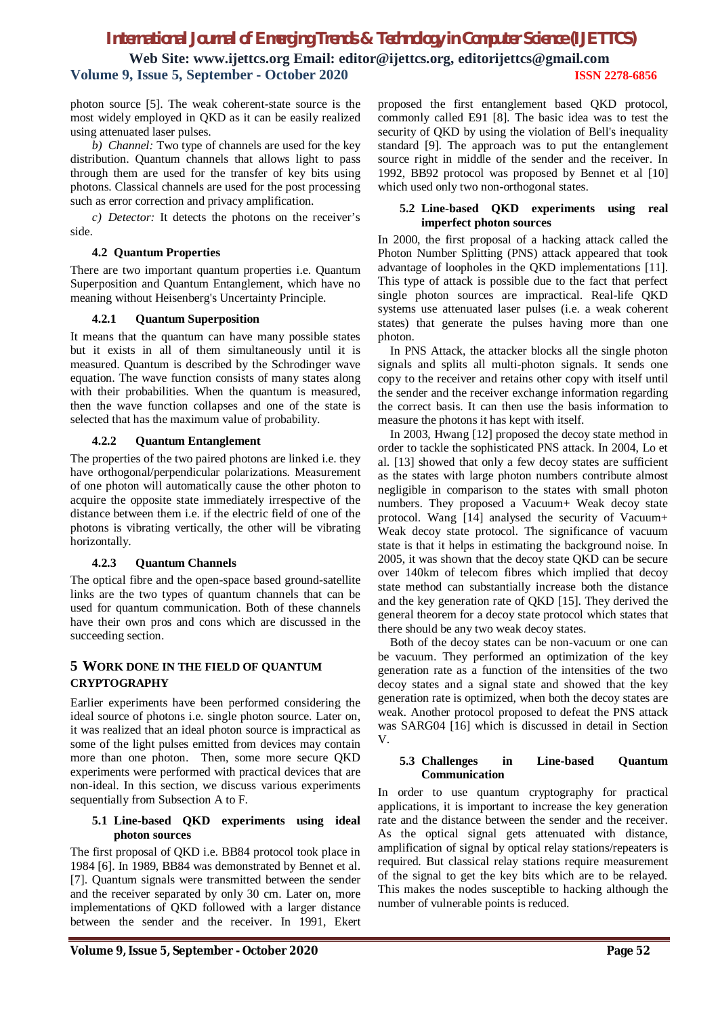photon source [5]. The weak coherent-state source is the most widely employed in QKD as it can be easily realized using attenuated laser pulses.

*b) Channel:* Two type of channels are used for the key distribution. Quantum channels that allows light to pass through them are used for the transfer of key bits using photons. Classical channels are used for the post processing such as error correction and privacy amplification.

*c) Detector:* It detects the photons on the receiver's side.

#### **4.2 Quantum Properties**

There are two important quantum properties i.e. Quantum Superposition and Quantum Entanglement, which have no meaning without Heisenberg's Uncertainty Principle.

## **4.2.1 Quantum Superposition**

It means that the quantum can have many possible states but it exists in all of them simultaneously until it is measured. Quantum is described by the Schrodinger wave equation. The wave function consists of many states along with their probabilities. When the quantum is measured, then the wave function collapses and one of the state is selected that has the maximum value of probability.

## **4.2.2 Quantum Entanglement**

The properties of the two paired photons are linked i.e. they have orthogonal/perpendicular polarizations. Measurement of one photon will automatically cause the other photon to acquire the opposite state immediately irrespective of the distance between them i.e. if the electric field of one of the photons is vibrating vertically, the other will be vibrating horizontally.

# **4.2.3 Quantum Channels**

The optical fibre and the open-space based ground-satellite links are the two types of quantum channels that can be used for quantum communication. Both of these channels have their own pros and cons which are discussed in the succeeding section.

# **5 WORK DONE IN THE FIELD OF QUANTUM CRYPTOGRAPHY**

Earlier experiments have been performed considering the ideal source of photons i.e. single photon source. Later on, it was realized that an ideal photon source is impractical as some of the light pulses emitted from devices may contain more than one photon. Then, some more secure QKD experiments were performed with practical devices that are non-ideal. In this section, we discuss various experiments sequentially from Subsection A to F.

#### **5.1 Line-based QKD experiments using ideal photon sources**

The first proposal of QKD i.e. BB84 protocol took place in 1984 [6]. In 1989, BB84 was demonstrated by Bennet et al. [7]. Quantum signals were transmitted between the sender and the receiver separated by only 30 cm. Later on, more implementations of QKD followed with a larger distance between the sender and the receiver. In 1991, Ekert proposed the first entanglement based QKD protocol, commonly called E91 [8]. The basic idea was to test the security of QKD by using the violation of Bell's inequality standard [9]. The approach was to put the entanglement source right in middle of the sender and the receiver. In 1992, BB92 protocol was proposed by Bennet et al [10] which used only two non-orthogonal states.

#### **5.2 Line-based QKD experiments using real imperfect photon sources**

In 2000, the first proposal of a hacking attack called the Photon Number Splitting (PNS) attack appeared that took advantage of loopholes in the QKD implementations [11]. This type of attack is possible due to the fact that perfect single photon sources are impractical. Real-life QKD systems use attenuated laser pulses (i.e. a weak coherent states) that generate the pulses having more than one photon.

In PNS Attack, the attacker blocks all the single photon signals and splits all multi-photon signals. It sends one copy to the receiver and retains other copy with itself until the sender and the receiver exchange information regarding the correct basis. It can then use the basis information to measure the photons it has kept with itself.

In 2003, Hwang [12] proposed the decoy state method in order to tackle the sophisticated PNS attack. In 2004, Lo et al. [13] showed that only a few decoy states are sufficient as the states with large photon numbers contribute almost negligible in comparison to the states with small photon numbers. They proposed a Vacuum+ Weak decoy state protocol. Wang [14] analysed the security of Vacuum+ Weak decoy state protocol. The significance of vacuum state is that it helps in estimating the background noise. In 2005, it was shown that the decoy state QKD can be secure over 140km of telecom fibres which implied that decoy state method can substantially increase both the distance and the key generation rate of QKD [15]. They derived the general theorem for a decoy state protocol which states that there should be any two weak decoy states.

Both of the decoy states can be non-vacuum or one can be vacuum. They performed an optimization of the key generation rate as a function of the intensities of the two decoy states and a signal state and showed that the key generation rate is optimized, when both the decoy states are weak. Another protocol proposed to defeat the PNS attack was SARG04 [16] which is discussed in detail in Section V.

#### **5.3 Challenges in Line-based Quantum Communication**

In order to use quantum cryptography for practical applications, it is important to increase the key generation rate and the distance between the sender and the receiver. As the optical signal gets attenuated with distance, amplification of signal by optical relay stations/repeaters is required. But classical relay stations require measurement of the signal to get the key bits which are to be relayed. This makes the nodes susceptible to hacking although the number of vulnerable points is reduced.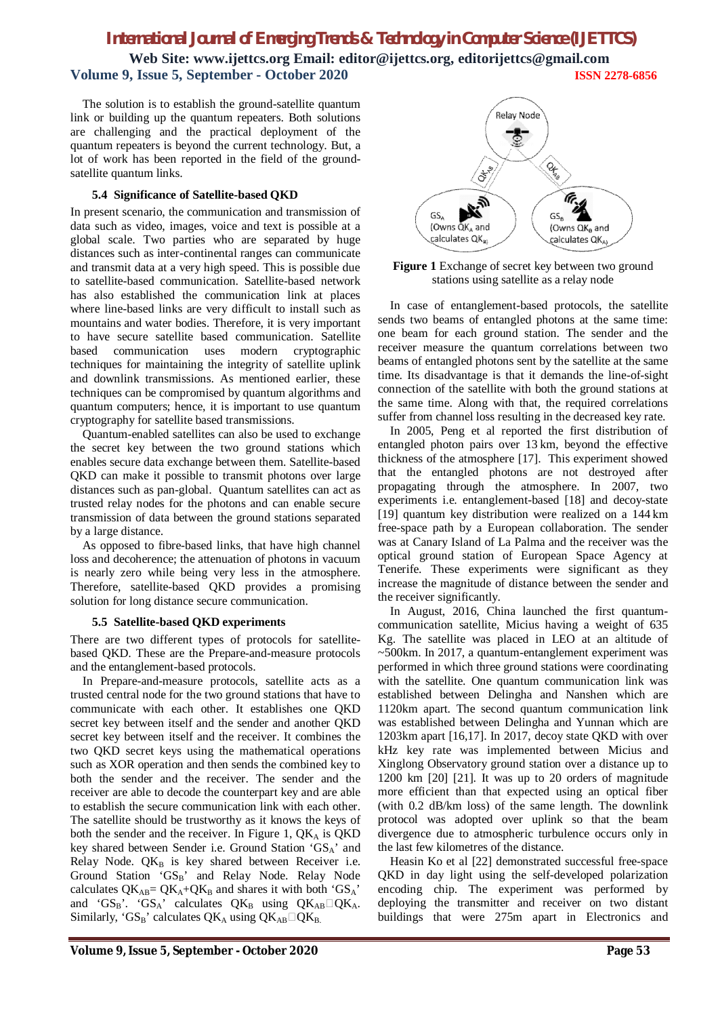**Web Site: www.ijettcs.org Email: editor@ijettcs.org, editorijettcs@gmail.com Volume 9, Issue 5, September - October 2020 ISSN 2278-6856**

The solution is to establish the ground-satellite quantum link or building up the quantum repeaters. Both solutions are challenging and the practical deployment of the quantum repeaters is beyond the current technology. But, a lot of work has been reported in the field of the groundsatellite quantum links.

#### **5.4 Significance of Satellite-based QKD**

In present scenario, the communication and transmission of data such as video, images, voice and text is possible at a global scale. Two parties who are separated by huge distances such as inter-continental ranges can communicate and transmit data at a very high speed. This is possible due to satellite-based communication. Satellite-based network has also established the communication link at places where line-based links are very difficult to install such as mountains and water bodies. Therefore, it is very important to have secure satellite based communication. Satellite based communication uses modern cryptographic techniques for maintaining the integrity of satellite uplink and downlink transmissions. As mentioned earlier, these techniques can be compromised by quantum algorithms and quantum computers; hence, it is important to use quantum cryptography for satellite based transmissions.

Quantum-enabled satellites can also be used to exchange the secret key between the two ground stations which enables secure data exchange between them. Satellite-based QKD can make it possible to transmit photons over large distances such as pan-global. Quantum satellites can act as trusted relay nodes for the photons and can enable secure transmission of data between the ground stations separated by a large distance.

As opposed to fibre-based links, that have high channel loss and decoherence; the attenuation of photons in vacuum is nearly zero while being very less in the atmosphere. Therefore, satellite-based QKD provides a promising solution for long distance secure communication.

#### **5.5 Satellite-based QKD experiments**

There are two different types of protocols for satellitebased QKD. These are the Prepare-and-measure protocols and the entanglement-based protocols.

In Prepare-and-measure protocols, satellite acts as a trusted central node for the two ground stations that have to communicate with each other. It establishes one QKD secret key between itself and the sender and another QKD secret key between itself and the receiver. It combines the two QKD secret keys using the mathematical operations such as XOR operation and then sends the combined key to both the sender and the receiver. The sender and the receiver are able to decode the counterpart key and are able to establish the secure communication link with each other. The satellite should be trustworthy as it knows the keys of both the sender and the receiver. In Figure 1,  $QK_A$  is  $QKD$ key shared between Sender i.e. Ground Station 'GSA' and Relay Node.  $QK_B$  is key shared between Receiver i.e. Ground Station 'GSB' and Relay Node. Relay Node calculates  $QK_{AB} = QK_A + QK_B$  and shares it with both 'GS<sub>A</sub>' and 'GSB'. 'GSA' calculates  $QK_B$  using  $QK_{AB} \Box QK_A$ . Similarly, 'GS<sub>B</sub>' calculates  $QK_A$  using  $QK_{AB}\Box QK_B$ .



**Figure 1** Exchange of secret key between two ground stations using satellite as a relay node

In case of entanglement-based protocols, the satellite sends two beams of entangled photons at the same time: one beam for each ground station. The sender and the receiver measure the quantum correlations between two beams of entangled photons sent by the satellite at the same time. Its disadvantage is that it demands the line-of-sight connection of the satellite with both the ground stations at the same time. Along with that, the required correlations suffer from channel loss resulting in the decreased key rate.

In 2005, Peng et al reported the first distribution of entangled photon pairs over 13 km, beyond the effective thickness of the atmosphere [17]. This experiment showed that the entangled photons are not destroyed after propagating through the atmosphere. In 2007, two experiments i.e. entanglement-based [18] and decoy-state [19] quantum key distribution were realized on a 144 km free-space path by a European collaboration. The sender was at Canary Island of La Palma and the receiver was the optical ground station of European Space Agency at Tenerife. These experiments were significant as they increase the magnitude of distance between the sender and the receiver significantly.

In August, 2016, China launched the first quantumcommunication satellite, Micius having a weight of 635 Kg. The satellite was placed in LEO at an altitude of ~500km. In 2017, a quantum-entanglement experiment was performed in which three ground stations were coordinating with the satellite. One quantum communication link was established between Delingha and Nanshen which are 1120km apart. The second quantum communication link was established between Delingha and Yunnan which are 1203km apart [16,17]. In 2017, decoy state QKD with over kHz key rate was implemented between Micius and Xinglong Observatory ground station over a distance up to 1200 km [20] [21]. It was up to 20 orders of magnitude more efficient than that expected using an optical fiber (with 0.2 dB/km loss) of the same length. The downlink protocol was adopted over uplink so that the beam divergence due to atmospheric turbulence occurs only in the last few kilometres of the distance.

Heasin Ko et al [22] demonstrated successful free-space QKD in day light using the self-developed polarization encoding chip. The experiment was performed by deploying the transmitter and receiver on two distant buildings that were 275m apart in Electronics and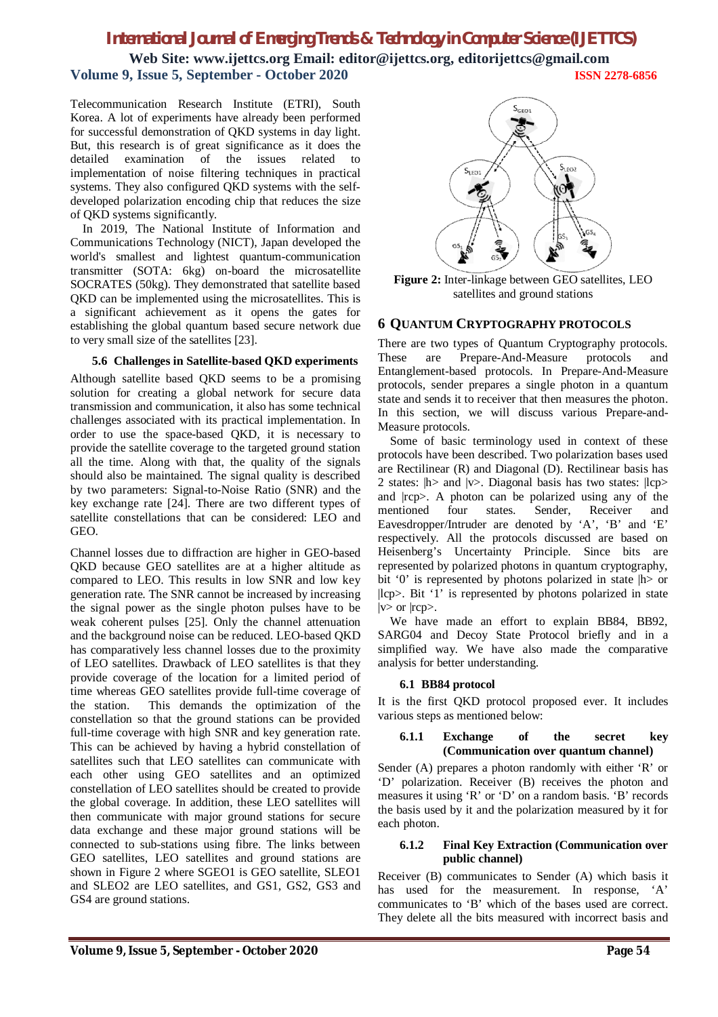**Web Site: www.ijettcs.org Email: editor@ijettcs.org, editorijettcs@gmail.com Volume 9, Issue 5, September - October 2020 ISSN 2278-6856**

Telecommunication Research Institute (ETRI), South Korea. A lot of experiments have already been performed for successful demonstration of QKD systems in day light. But, this research is of great significance as it does the detailed examination of the issues related to implementation of noise filtering techniques in practical systems. They also configured QKD systems with the selfdeveloped polarization encoding chip that reduces the size of QKD systems significantly.

In 2019, The National Institute of Information and Communications Technology (NICT), Japan developed the world's smallest and lightest quantum-communication transmitter (SOTA: 6kg) on-board the microsatellite SOCRATES (50kg). They demonstrated that satellite based QKD can be implemented using the microsatellites. This is a significant achievement as it opens the gates for establishing the global quantum based secure network due to very small size of the satellites [23].

#### **5.6 Challenges in Satellite-based QKD experiments**

Although satellite based QKD seems to be a promising solution for creating a global network for secure data transmission and communication, it also has some technical challenges associated with its practical implementation. In order to use the space-based QKD, it is necessary to provide the satellite coverage to the targeted ground station all the time. Along with that, the quality of the signals should also be maintained. The signal quality is described by two parameters: Signal-to-Noise Ratio (SNR) and the key exchange rate [24]. There are two different types of satellite constellations that can be considered: LEO and GEO.

Channel losses due to diffraction are higher in GEO-based QKD because GEO satellites are at a higher altitude as compared to LEO. This results in low SNR and low key generation rate. The SNR cannot be increased by increasing the signal power as the single photon pulses have to be weak coherent pulses [25]. Only the channel attenuation and the background noise can be reduced. LEO-based QKD has comparatively less channel losses due to the proximity of LEO satellites. Drawback of LEO satellites is that they provide coverage of the location for a limited period of time whereas GEO satellites provide full-time coverage of the station. This demands the optimization of the constellation so that the ground stations can be provided full-time coverage with high SNR and key generation rate. This can be achieved by having a hybrid constellation of satellites such that LEO satellites can communicate with each other using GEO satellites and an optimized constellation of LEO satellites should be created to provide the global coverage. In addition, these LEO satellites will then communicate with major ground stations for secure data exchange and these major ground stations will be connected to sub-stations using fibre. The links between GEO satellites, LEO satellites and ground stations are shown in Figure 2 where SGEO1 is GEO satellite, SLEO1 and SLEO2 are LEO satellites, and GS1, GS2, GS3 and GS4 are ground stations.



**Figure 2:** Inter-linkage between GEO satellites, LEO satellites and ground stations

#### **6 QUANTUM CRYPTOGRAPHY PROTOCOLS**

There are two types of Quantum Cryptography protocols. These are Prepare-And-Measure protocols and Entanglement-based protocols. In Prepare-And-Measure protocols, sender prepares a single photon in a quantum state and sends it to receiver that then measures the photon. In this section, we will discuss various Prepare-and-Measure protocols.

Some of basic terminology used in context of these protocols have been described. Two polarization bases used are Rectilinear (R) and Diagonal (D). Rectilinear basis has 2 states:  $|h\rangle$  and  $|v\rangle$ . Diagonal basis has two states:  $|lp\rangle$ and |rcp>. A photon can be polarized using any of the mentioned four states. Sender, Receiver and Eavesdropper/Intruder are denoted by 'A', 'B' and 'E' respectively. All the protocols discussed are based on Heisenberg's Uncertainty Principle. Since bits are represented by polarized photons in quantum cryptography, bit '0' is represented by photons polarized in state  $|h\rangle$  or |lcp>. Bit '1' is represented by photons polarized in state |v> or |rcp>.

We have made an effort to explain BB84, BB92, SARG04 and Decoy State Protocol briefly and in a simplified way. We have also made the comparative analysis for better understanding.

#### **6.1 BB84 protocol**

It is the first QKD protocol proposed ever. It includes various steps as mentioned below:

#### **6.1.1 Exchange of the secret key (Communication over quantum channel)**

Sender (A) prepares a photon randomly with either 'R' or 'D' polarization. Receiver (B) receives the photon and measures it using 'R' or 'D' on a random basis. 'B' records the basis used by it and the polarization measured by it for each photon.

#### **6.1.2 Final Key Extraction (Communication over public channel)**

Receiver (B) communicates to Sender (A) which basis it has used for the measurement. In response, 'A' communicates to 'B' which of the bases used are correct. They delete all the bits measured with incorrect basis and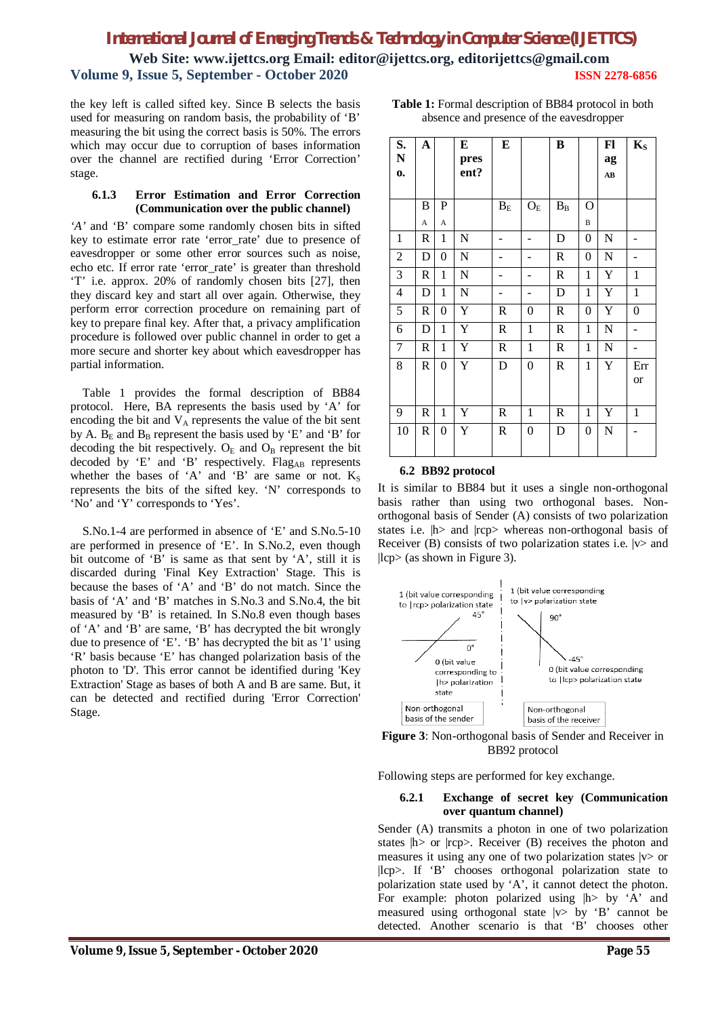**Web Site: www.ijettcs.org Email: editor@ijettcs.org, editorijettcs@gmail.com Volume 9, Issue 5, September - October 2020 ISSN 2278-6856**

the key left is called sifted key. Since B selects the basis used for measuring on random basis, the probability of 'B' measuring the bit using the correct basis is 50%. The errors which may occur due to corruption of bases information over the channel are rectified during 'Error Correction' stage.

#### **6.1.3 Error Estimation and Error Correction (Communication over the public channel)**

*'A'* and 'B' compare some randomly chosen bits in sifted key to estimate error rate 'error\_rate' due to presence of eavesdropper or some other error sources such as noise, echo etc. If error rate 'error\_rate' is greater than threshold 'T' i.e. approx. 20% of randomly chosen bits [27], then they discard key and start all over again. Otherwise, they perform error correction procedure on remaining part of key to prepare final key. After that, a privacy amplification procedure is followed over public channel in order to get a more secure and shorter key about which eavesdropper has partial information.

Table 1 provides the formal description of BB84 protocol. Here, BA represents the basis used by 'A' for encoding the bit and  $V_A$  represents the value of the bit sent by A.  $B<sub>E</sub>$  and  $B<sub>B</sub>$  represent the basis used by 'E' and 'B' for decoding the bit respectively.  $O_E$  and  $O_B$  represent the bit decoded by 'E' and 'B' respectively. Flag<sub>AB</sub> represents whether the bases of 'A' and 'B' are same or not.  $K_S$ represents the bits of the sifted key. 'N' corresponds to 'No' and 'Y' corresponds to 'Yes'.

S.No.1-4 are performed in absence of 'E' and S.No.5-10 are performed in presence of 'E'. In S.No.2, even though bit outcome of 'B' is same as that sent by 'A', still it is discarded during 'Final Key Extraction' Stage. This is because the bases of 'A' and 'B' do not match. Since the basis of 'A' and 'B' matches in S.No.3 and S.No.4, the bit measured by 'B' is retained. In S.No.8 even though bases of 'A' and 'B' are same, 'B' has decrypted the bit wrongly due to presence of 'E'. 'B' has decrypted the bit as '1' using 'R' basis because 'E' has changed polarization basis of the photon to 'D'. This error cannot be identified during 'Key Extraction' Stage as bases of both A and B are same. But, it can be detected and rectified during 'Error Correction' Stage.

| S.<br>N<br>$\mathbf{0}$  | $\mathbf A$ |                  | E<br>pres<br>ent?     | ${\bf E}$                |                  | B            |                  | Fl<br>ag<br>AB | $K_{S}$          |
|--------------------------|-------------|------------------|-----------------------|--------------------------|------------------|--------------|------------------|----------------|------------------|
|                          | B           | P                |                       | $B_{\rm E}$              | $O_{\rm E}$      | $\rm B_B$    | О                |                |                  |
|                          | A           | A                |                       |                          |                  |              | B                |                |                  |
| $\mathbf{1}$             | R           | 1                | $\mathbf N$           | $\overline{\phantom{0}}$ | -                | D            | $\boldsymbol{0}$ | N              |                  |
| $\overline{2}$           | D           | $\boldsymbol{0}$ | $\mathbf N$           | -                        | -                | R            | $\boldsymbol{0}$ | $\mathbf N$    | -                |
| 3                        | R           | $\mathbf{1}$     | $\mathbf N$           |                          |                  | $\mathsf R$  | $\mathbf{1}$     | Y              | $\mathbf{1}$     |
| $\overline{\mathcal{L}}$ | D           | $\mathbf{1}$     | $\overline{N}$        |                          |                  | D            | $\mathbf{1}$     | Y              | $\mathbf{1}$     |
| 5                        | R           | $\boldsymbol{0}$ | $\overline{\text{Y}}$ | R                        | 0                | $\mathsf R$  | $\boldsymbol{0}$ | Y              | $\boldsymbol{0}$ |
| 6                        | D           | $\mathbf{1}$     | Y                     | $\mathsf{R}$             | $\mathbf{1}$     | $\mathsf R$  | $\mathbf{1}$     | N              |                  |
| $\overline{7}$           | R           | 1                | Y                     | R                        | $\mathbf{1}$     | $\mathsf R$  | $\mathbf{1}$     | N              |                  |
| 8                        | R           | $\boldsymbol{0}$ | Y                     | D                        | $\boldsymbol{0}$ | $\mathsf R$  | $\mathbf{1}$     | Y              | Err              |
|                          |             |                  |                       |                          |                  |              |                  |                | or               |
| 9                        | R           | $\mathbf{1}$     | Y                     | $\mathbf R$              | $\mathbf{1}$     | $\mathbb{R}$ | $\mathbf{1}$     | Y              | $\mathbf{1}$     |
| 10                       | R           | $\boldsymbol{0}$ | Y                     | $\mathbf R$              | $\boldsymbol{0}$ | D            | $\boldsymbol{0}$ | N              |                  |

#### **Table 1:** Formal description of BB84 protocol in both absence and presence of the eavesdropper

# **6.2 BB92 protocol**

It is similar to BB84 but it uses a single non-orthogonal basis rather than using two orthogonal bases. Nonorthogonal basis of Sender (A) consists of two polarization states i.e.  $|h\rangle$  and  $|rcp\rangle$  whereas non-orthogonal basis of Receiver (B) consists of two polarization states i.e.  $|v\rangle$  and |lcp> (as shown in Figure 3).





Following steps are performed for key exchange.

#### **6.2.1 Exchange of secret key (Communication over quantum channel)**

Sender (A) transmits a photon in one of two polarization states  $|h\rangle$  or  $|rep\rangle$ . Receiver (B) receives the photon and measures it using any one of two polarization states  $|v\rangle$  or |lcp>. If 'B' chooses orthogonal polarization state to polarization state used by 'A', it cannot detect the photon. For example: photon polarized using  $|h$  by 'A' and measured using orthogonal state  $|v\rangle$  by 'B' cannot be detected. Another scenario is that 'B' chooses other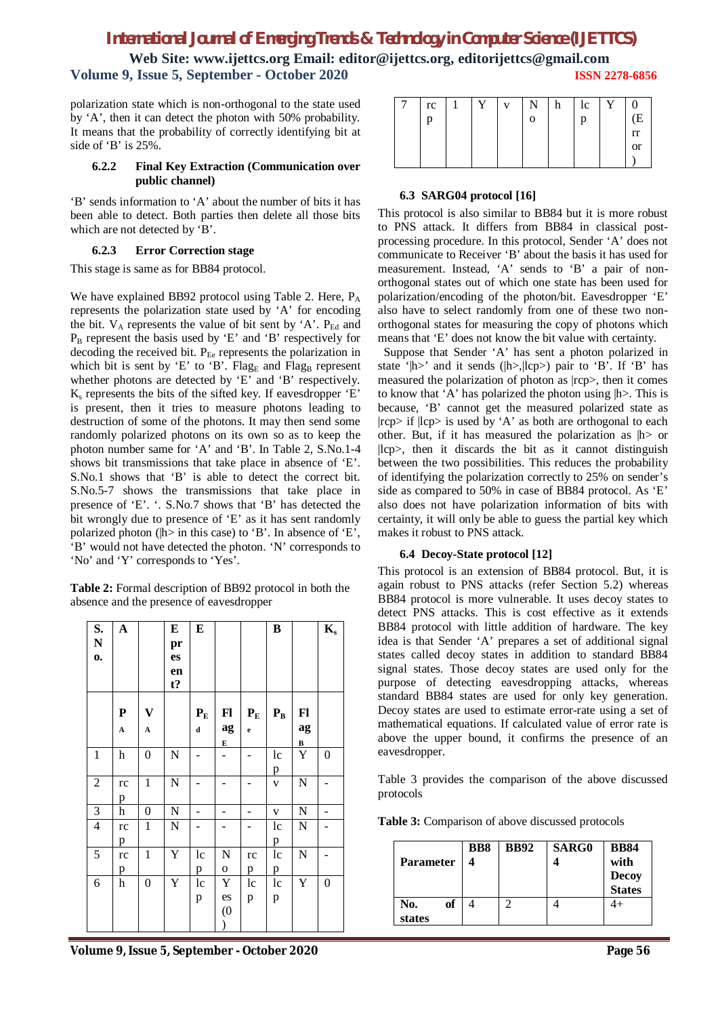**Web Site: www.ijettcs.org Email: editor@ijettcs.org, editorijettcs@gmail.com Volume 9, Issue 5, September - October 2020 ISSN 2278-6856**

polarization state which is non-orthogonal to the state used by 'A', then it can detect the photon with 50% probability. It means that the probability of correctly identifying bit at side of 'B' is 25%.

#### **6.2.2 Final Key Extraction (Communication over public channel)**

'B' sends information to 'A' about the number of bits it has been able to detect. Both parties then delete all those bits which are not detected by 'B'.

#### **6.2.3 Error Correction stage**

This stage is same as for BB84 protocol.

We have explained BB92 protocol using Table 2. Here, P<sub>A</sub> represents the polarization state used by 'A' for encoding the bit.  $V_A$  represents the value of bit sent by 'A'.  $P_{Ed}$  and  $P_B$  represent the basis used by 'E' and 'B' respectively for decoding the received bit.  $P_{Ee}$  represents the polarization in which bit is sent by 'E' to 'B'. Flag<sub>E</sub> and Flag<sub>B</sub> represent whether photons are detected by 'E' and 'B' respectively.  $K<sub>s</sub>$  represents the bits of the sifted key. If eavesdropper 'E' is present, then it tries to measure photons leading to destruction of some of the photons. It may then send some randomly polarized photons on its own so as to keep the photon number same for 'A' and 'B'. In Table 2, S.No.1-4 shows bit transmissions that take place in absence of 'E'. S.No.1 shows that 'B' is able to detect the correct bit. S.No.5-7 shows the transmissions that take place in presence of 'E'. '. S.No.7 shows that 'B' has detected the bit wrongly due to presence of 'E' as it has sent randomly polarized photon (|h> in this case) to 'B'. In absence of 'E', 'B' would not have detected the photon. 'N' corresponds to 'No' and 'Y' corresponds to 'Yes'.

**Table 2:** Formal description of BB92 protocol in both the absence and the presence of eavesdropper

| S.<br>${\bf N}$<br>$\mathbf{0}$ | $\boldsymbol{\mathsf{A}}$         |                                      | E<br>pr<br>es<br>en<br>$t$ ? | ${\bf E}$                              |                  |                         | $\, {\bf B}$            |                      | $K_{s}$        |
|---------------------------------|-----------------------------------|--------------------------------------|------------------------------|----------------------------------------|------------------|-------------------------|-------------------------|----------------------|----------------|
|                                 | ${\bf P}$<br>$\boldsymbol{\rm A}$ | $\mathbf{V}$<br>$\boldsymbol{\rm A}$ |                              | $\mathbf{P}_\mathrm{E}$<br>$\mathbf d$ | F1<br>ag<br>E    | $P_{E}$<br>$\mathbf{e}$ | $\mathbf{P}_\mathrm{B}$ | Fl<br>ag<br>$\bf{B}$ |                |
| $\mathbf{1}$                    | h                                 | $\boldsymbol{0}$                     | $\mathbf N$                  |                                        |                  |                         | 1c<br>$\mathbf{p}$      | Y                    | $\overline{0}$ |
| $\overline{2}$                  | rc<br>p                           | $\mathbf{1}$                         | $\overline{N}$               |                                        |                  |                         | $\mathbf V$             | N                    |                |
| $\mathfrak{Z}$                  | h                                 | $\boldsymbol{0}$                     | N                            |                                        | -                | -                       | $\mathbf V$             | ${\bf N}$            | -              |
| $\overline{4}$                  | rc<br>p                           | $\mathbf{1}$                         | ${\bf N}$                    |                                        |                  |                         | 1c<br>p                 | $\mathbf N$          |                |
| 5                               | rc<br>p                           | 1                                    | Y                            | 1c<br>p                                | N<br>$\mathbf 0$ | rc<br>p                 | 1c<br>p                 | N                    |                |
| 6                               | h                                 | $\boldsymbol{0}$                     | Y                            | 1c<br>p                                | Y<br>es<br>(0)   | lc<br>p                 | 1c<br>p                 | Y                    | 0              |

| rc | Y | v | N            | h | 1c | Y |               |
|----|---|---|--------------|---|----|---|---------------|
| p  |   |   | $\mathbf{o}$ |   | р  |   | .<br>(E       |
|    |   |   |              |   |    |   | rr            |
|    |   |   |              |   |    |   | <sub>or</sub> |
|    |   |   |              |   |    |   |               |

#### **6.3 SARG04 protocol [16]**

This protocol is also similar to BB84 but it is more robust to PNS attack. It differs from BB84 in classical postprocessing procedure. In this protocol, Sender 'A' does not communicate to Receiver 'B' about the basis it has used for measurement. Instead, 'A' sends to 'B' a pair of nonorthogonal states out of which one state has been used for polarization/encoding of the photon/bit. Eavesdropper 'E' also have to select randomly from one of these two nonorthogonal states for measuring the copy of photons which means that 'E' does not know the bit value with certainty.

 Suppose that Sender 'A' has sent a photon polarized in state '|h>' and it sends (|h>,|lcp>) pair to 'B'. If 'B' has measured the polarization of photon as |rcp>, then it comes to know that 'A' has polarized the photon using |h>. This is because, 'B' cannot get the measured polarized state as  $|rep\rangle$  if  $|lep\rangle$  is used by 'A' as both are orthogonal to each other. But, if it has measured the polarization as  $|h\rangle$  or |lcp>, then it discards the bit as it cannot distinguish between the two possibilities. This reduces the probability of identifying the polarization correctly to 25% on sender's side as compared to 50% in case of BB84 protocol. As 'E' also does not have polarization information of bits with certainty, it will only be able to guess the partial key which makes it robust to PNS attack.

# **6.4 Decoy-State protocol [12]**

This protocol is an extension of BB84 protocol. But, it is again robust to PNS attacks (refer Section 5.2) whereas BB84 protocol is more vulnerable. It uses decoy states to detect PNS attacks. This is cost effective as it extends BB84 protocol with little addition of hardware. The key idea is that Sender 'A' prepares a set of additional signal states called decoy states in addition to standard BB84 signal states. Those decoy states are used only for the purpose of detecting eavesdropping attacks, whereas standard BB84 states are used for only key generation. Decoy states are used to estimate error-rate using a set of mathematical equations. If calculated value of error rate is above the upper bound, it confirms the presence of an eavesdropper.

Table 3 provides the comparison of the above discussed protocols

**Table 3:** Comparison of above discussed protocols

| <b>Parameter</b>    | <b>BB8</b> | <b>BB92</b> | <b>SARG0</b> | <b>BB84</b><br>with<br><b>Decoy</b><br>States |  |
|---------------------|------------|-------------|--------------|-----------------------------------------------|--|
| of<br>No.<br>states |            |             |              |                                               |  |

**Volume 9, Issue 5, September - October 2020 Page 56**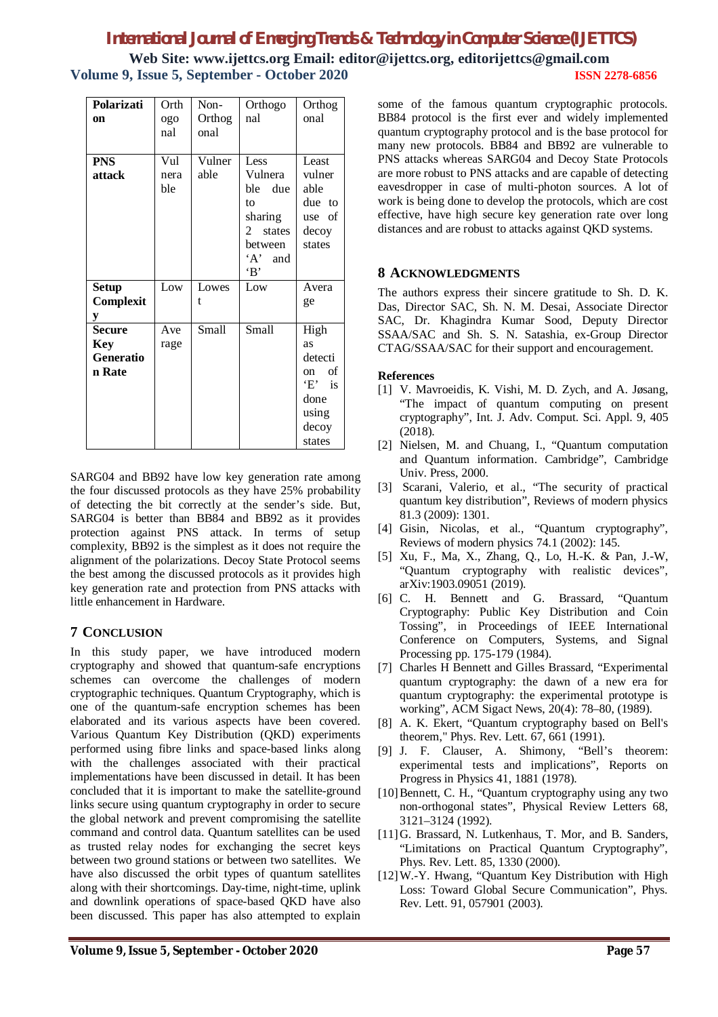| Polarizati    | Orth | Non-   | Orthogo                 | Orthog    |
|---------------|------|--------|-------------------------|-----------|
| on            | ogo  | Orthog | nal                     | onal      |
|               | nal  | onal   |                         |           |
|               |      |        |                         |           |
| <b>PNS</b>    | Vul  | Vulner | Less                    | Least     |
| attack        | nera | able   | Vulnera                 | vulner    |
|               | ble  |        | ble due                 | able      |
|               |      |        | to                      | due to    |
|               |      |        | sharing                 | use of    |
|               |      |        | $\mathcal{L}$<br>states | decoy     |
|               |      |        | between                 | states    |
|               |      |        | 'A' and                 |           |
|               |      |        | B                       |           |
| <b>Setup</b>  | Low  | Lowes  | Low                     | Avera     |
| Complexit     |      | t      |                         | ge        |
| y             |      |        |                         |           |
| <b>Secure</b> | Ave  | Small  | Small                   | High      |
| Key           | rage |        |                         | <b>as</b> |
| Generatio     |      |        |                         | detecti   |
| n Rate        |      |        |                         | of<br>on. |
|               |      |        |                         | $E'$ is   |
|               |      |        |                         | done      |
|               |      |        |                         | using     |
|               |      |        |                         | decoy     |
|               |      |        |                         | states    |

SARG04 and BB92 have low key generation rate among the four discussed protocols as they have 25% probability of detecting the bit correctly at the sender's side. But, SARG04 is better than BB84 and BB92 as it provides protection against PNS attack. In terms of setup complexity, BB92 is the simplest as it does not require the alignment of the polarizations. Decoy State Protocol seems the best among the discussed protocols as it provides high key generation rate and protection from PNS attacks with little enhancement in Hardware.

# **7 CONCLUSION**

In this study paper, we have introduced modern cryptography and showed that quantum-safe encryptions schemes can overcome the challenges of modern cryptographic techniques. Quantum Cryptography, which is one of the quantum-safe encryption schemes has been elaborated and its various aspects have been covered. Various Quantum Key Distribution (QKD) experiments performed using fibre links and space-based links along with the challenges associated with their practical implementations have been discussed in detail. It has been concluded that it is important to make the satellite-ground links secure using quantum cryptography in order to secure the global network and prevent compromising the satellite command and control data. Quantum satellites can be used as trusted relay nodes for exchanging the secret keys between two ground stations or between two satellites. We have also discussed the orbit types of quantum satellites along with their shortcomings. Day-time, night-time, uplink and downlink operations of space-based QKD have also been discussed. This paper has also attempted to explain

some of the famous quantum cryptographic protocols. BB84 protocol is the first ever and widely implemented quantum cryptography protocol and is the base protocol for many new protocols. BB84 and BB92 are vulnerable to PNS attacks whereas SARG04 and Decoy State Protocols are more robust to PNS attacks and are capable of detecting eavesdropper in case of multi-photon sources. A lot of work is being done to develop the protocols, which are cost effective, have high secure key generation rate over long distances and are robust to attacks against QKD systems.

# **8 ACKNOWLEDGMENTS**

The authors express their sincere gratitude to Sh. D. K. Das, Director SAC, Sh. N. M. Desai, Associate Director SAC, Dr. Khagindra Kumar Sood, Deputy Director SSAA/SAC and Sh. S. N. Satashia, ex-Group Director CTAG/SSAA/SAC for their support and encouragement.

## **References**

- [1] V. Mavroeidis, K. Vishi, M. D. Zych, and A. Jøsang, "The impact of quantum computing on present cryptography", Int. J. Adv. Comput. Sci. Appl. 9, 405 (2018).
- [2] Nielsen, M. and Chuang, I., "Quantum computation and Quantum information. Cambridge", Cambridge Univ. Press, 2000.
- [3] Scarani, Valerio, et al., "The security of practical quantum key distribution", Reviews of modern physics 81.3 (2009): 1301.
- [4] Gisin, Nicolas, et al., "Quantum cryptography", Reviews of modern physics 74.1 (2002): 145.
- [5] Xu, F., Ma, X., Zhang, Q., Lo, H.-K. & Pan, J.-W, "Quantum cryptography with realistic devices", arXiv:1903.09051 (2019).
- [6] C. H. Bennett and G. Brassard, "Quantum Cryptography: Public Key Distribution and Coin Tossing", in Proceedings of IEEE International Conference on Computers, Systems, and Signal Processing pp. 175-179 (1984).
- [7] Charles H Bennett and Gilles Brassard, "Experimental quantum cryptography: the dawn of a new era for quantum cryptography: the experimental prototype is working", ACM Sigact News, 20(4): 78–80, (1989).
- [8] A. K. Ekert, "Quantum cryptography based on Bell's theorem," Phys. Rev. Lett. 67, 661 (1991).
- [9] J. F. Clauser, A. Shimony, "Bell's theorem: experimental tests and implications", Reports on Progress in Physics 41, 1881 (1978).
- [10] Bennett, C. H., "Quantum cryptography using any two non-orthogonal states", Physical Review Letters 68, 3121–3124 (1992).
- [11]G. Brassard, N. Lutkenhaus, T. Mor, and B. Sanders, "Limitations on Practical Quantum Cryptography", Phys. Rev. Lett. 85, 1330 (2000).
- [12]W.-Y. Hwang, "Quantum Key Distribution with High Loss: Toward Global Secure Communication", Phys. Rev. Lett. 91, 057901 (2003).